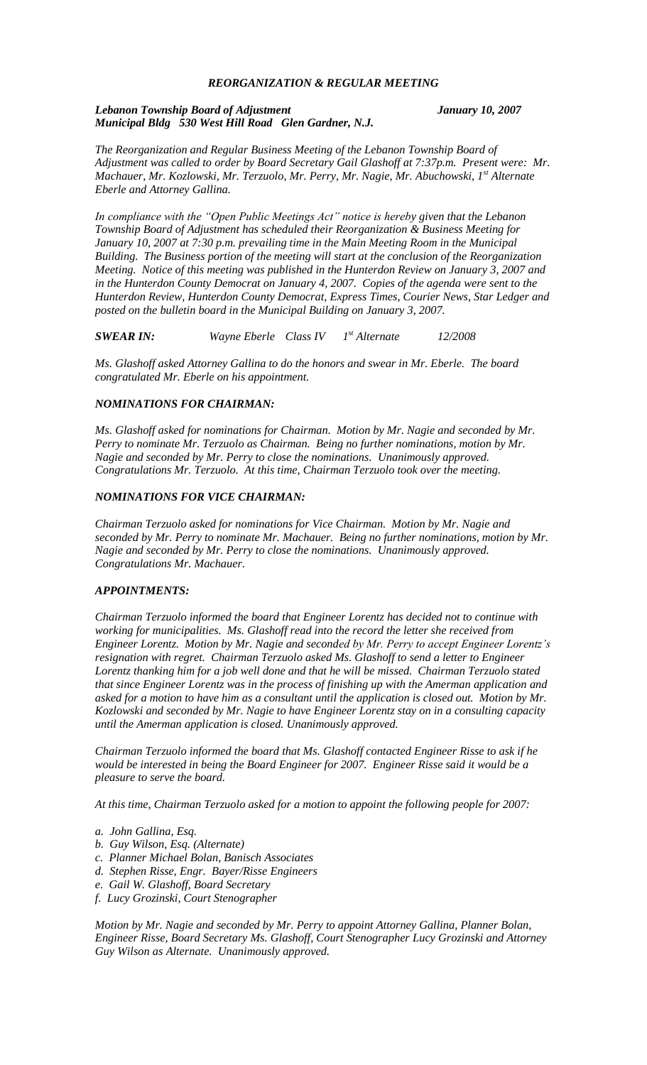## *REORGANIZATION & REGULAR MEETING*

#### *Lebanon Township Board of Adjustment January 10, 2007 Municipal Bldg 530 West Hill Road Glen Gardner, N.J.*

*The Reorganization and Regular Business Meeting of the Lebanon Township Board of Adjustment was called to order by Board Secretary Gail Glashoff at 7:37p.m. Present were: Mr. Machauer, Mr. Kozlowski, Mr. Terzuolo, Mr. Perry, Mr. Nagie, Mr. Abuchowski, 1st Alternate Eberle and Attorney Gallina.*

*In compliance with the "Open Public Meetings Act" notice is hereby given that the Lebanon Township Board of Adjustment has scheduled their Reorganization & Business Meeting for January 10, 2007 at 7:30 p.m. prevailing time in the Main Meeting Room in the Municipal Building. The Business portion of the meeting will start at the conclusion of the Reorganization Meeting. Notice of this meeting was published in the Hunterdon Review on January 3, 2007 and in the Hunterdon County Democrat on January 4, 2007. Copies of the agenda were sent to the Hunterdon Review, Hunterdon County Democrat, Express Times, Courier News, Star Ledger and posted on the bulletin board in the Municipal Building on January 3, 2007.*

*SWEAR IN: Wayne Eberle Class IV 1st Alternate 12/2008*

*Ms. Glashoff asked Attorney Gallina to do the honors and swear in Mr. Eberle. The board congratulated Mr. Eberle on his appointment.*

# *NOMINATIONS FOR CHAIRMAN:*

*Ms. Glashoff asked for nominations for Chairman. Motion by Mr. Nagie and seconded by Mr. Perry to nominate Mr. Terzuolo as Chairman. Being no further nominations, motion by Mr. Nagie and seconded by Mr. Perry to close the nominations. Unanimously approved. Congratulations Mr. Terzuolo. At this time, Chairman Terzuolo took over the meeting.*

#### *NOMINATIONS FOR VICE CHAIRMAN:*

*Chairman Terzuolo asked for nominations for Vice Chairman. Motion by Mr. Nagie and seconded by Mr. Perry to nominate Mr. Machauer. Being no further nominations, motion by Mr. Nagie and seconded by Mr. Perry to close the nominations. Unanimously approved. Congratulations Mr. Machauer.*

#### *APPOINTMENTS:*

*Chairman Terzuolo informed the board that Engineer Lorentz has decided not to continue with working for municipalities. Ms. Glashoff read into the record the letter she received from Engineer Lorentz. Motion by Mr. Nagie and seconded by Mr. Perry to accept Engineer Lorentz's*  resignation with regret. Chairman Terzuolo asked Ms. Glashoff to send a letter to Engineer *Lorentz thanking him for a job well done and that he will be missed. Chairman Terzuolo stated that since Engineer Lorentz was in the process of finishing up with the Amerman application and asked for a motion to have him as a consultant until the application is closed out. Motion by Mr. Kozlowski and seconded by Mr. Nagie to have Engineer Lorentz stay on in a consulting capacity until the Amerman application is closed. Unanimously approved.*

*Chairman Terzuolo informed the board that Ms. Glashoff contacted Engineer Risse to ask if he would be interested in being the Board Engineer for 2007. Engineer Risse said it would be a pleasure to serve the board.*

*At this time, Chairman Terzuolo asked for a motion to appoint the following people for 2007:*

- *a. John Gallina, Esq.*
- *b. Guy Wilson, Esq. (Alternate)*
- *c. Planner Michael Bolan, Banisch Associates*
- *d. Stephen Risse, Engr. Bayer/Risse Engineers*
- *e. Gail W. Glashoff, Board Secretary*
- *f. Lucy Grozinski, Court Stenographer*

*Motion by Mr. Nagie and seconded by Mr. Perry to appoint Attorney Gallina, Planner Bolan, Engineer Risse, Board Secretary Ms. Glashoff, Court Stenographer Lucy Grozinski and Attorney Guy Wilson as Alternate. Unanimously approved.*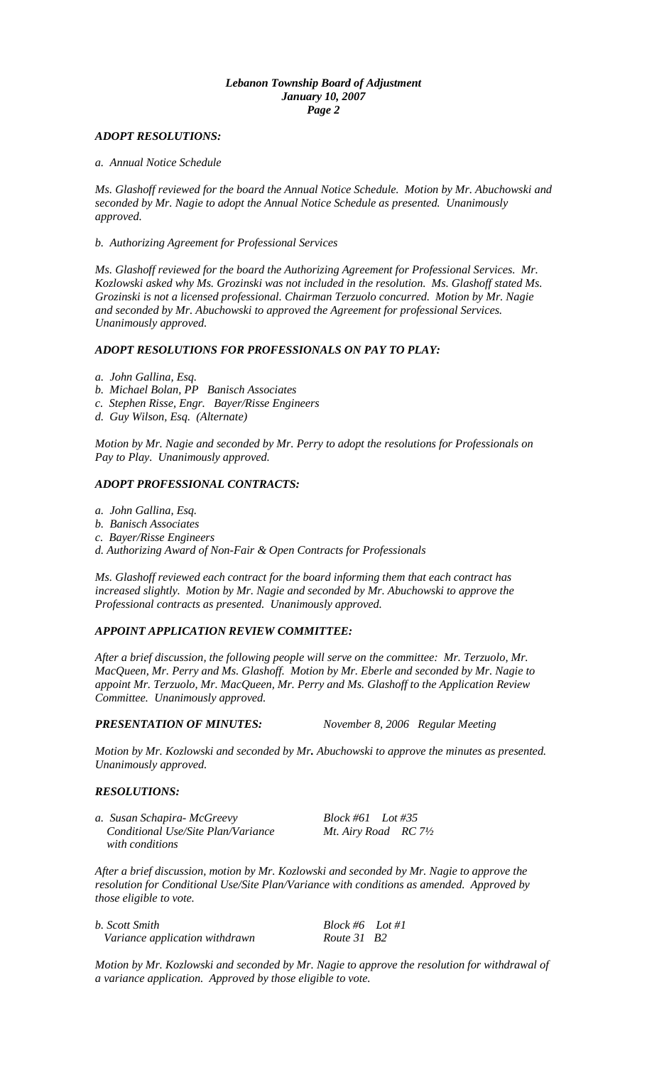#### *Lebanon Township Board of Adjustment January 10, 2007 Page 2*

## *ADOPT RESOLUTIONS:*

*a. Annual Notice Schedule*

*Ms. Glashoff reviewed for the board the Annual Notice Schedule. Motion by Mr. Abuchowski and seconded by Mr. Nagie to adopt the Annual Notice Schedule as presented. Unanimously approved.*

*b. Authorizing Agreement for Professional Services*

*Ms. Glashoff reviewed for the board the Authorizing Agreement for Professional Services. Mr. Kozlowski asked why Ms. Grozinski was not included in the resolution. Ms. Glashoff stated Ms. Grozinski is not a licensed professional. Chairman Terzuolo concurred. Motion by Mr. Nagie and seconded by Mr. Abuchowski to approved the Agreement for professional Services. Unanimously approved.*

#### *ADOPT RESOLUTIONS FOR PROFESSIONALS ON PAY TO PLAY:*

*a. John Gallina, Esq.* 

- *b. Michael Bolan, PP Banisch Associates*
- *c. Stephen Risse, Engr. Bayer/Risse Engineers*
- *d. Guy Wilson, Esq. (Alternate)*

*Motion by Mr. Nagie and seconded by Mr. Perry to adopt the resolutions for Professionals on Pay to Play. Unanimously approved.*

### *ADOPT PROFESSIONAL CONTRACTS:*

- *a. John Gallina, Esq.*
- *b. Banisch Associates*
- *c. Bayer/Risse Engineers*
- *d. Authorizing Award of Non-Fair & Open Contracts for Professionals*

*Ms. Glashoff reviewed each contract for the board informing them that each contract has increased slightly. Motion by Mr. Nagie and seconded by Mr. Abuchowski to approve the Professional contracts as presented. Unanimously approved.*

# *APPOINT APPLICATION REVIEW COMMITTEE:*

*After a brief discussion, the following people will serve on the committee: Mr. Terzuolo, Mr. MacQueen, Mr. Perry and Ms. Glashoff. Motion by Mr. Eberle and seconded by Mr. Nagie to appoint Mr. Terzuolo, Mr. MacQueen, Mr. Perry and Ms. Glashoff to the Application Review Committee. Unanimously approved.*

*PRESENTATION OF MINUTES: November 8, 2006 Regular Meeting*

*Motion by Mr. Kozlowski and seconded by Mr. Abuchowski to approve the minutes as presented. Unanimously approved.*

#### *RESOLUTIONS:*

*a. Susan Schapira- McGreevy Block #61 Lot #35 Conditional Use/Site Plan/Variance Mt. Airy Road RC 7½ with conditions*

*After a brief discussion, motion by Mr. Kozlowski and seconded by Mr. Nagie to approve the resolution for Conditional Use/Site Plan/Variance with conditions as amended. Approved by those eligible to vote.*

| b. Scott Smith                 | $Block #6$ Lot#1        |  |
|--------------------------------|-------------------------|--|
| Variance application withdrawn | Route 31 B <sub>2</sub> |  |

*Motion by Mr. Kozlowski and seconded by Mr. Nagie to approve the resolution for withdrawal of a variance application. Approved by those eligible to vote.*